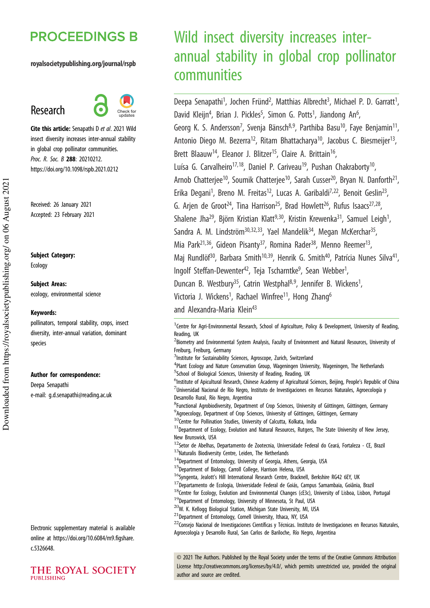# **PROCEEDINGS B**

#### royalsocietypublishing.org/journal/rspb

# Research



Cite this article: Senapathi D *et al*. 2021 Wild insect diversity increases inter-annual stability in global crop pollinator communities. *Proc. R. Soc. B* 288: 20210212. https://doi.org/10.1098/rspb.2021.0212

Received: 26 January 2021 Accepted: 23 February 2021

Subject Category:

Ecology

Subject Areas: ecology, environmental science

#### Keywords:

pollinators, temporal stability, crops, insect diversity, inter-annual variation, dominant species

#### Author for correspondence:

Deepa Senapathi e-mail: g.d.senapathi@reading.ac.uk

Electronic supplementary material is available online at https://doi.org/10.6084/m9.figshare. c.5326648.



# Wild insect diversity increases interannual stability in global crop pollinator communities

Deepa Senapathi<sup>1</sup>, Jochen Fründ<sup>2</sup>, Matthias Albrecht<sup>3</sup>, Michael P. D. Garratt<sup>1</sup> , David Kleijn<sup>4</sup>, Brian J. Pickles<sup>5</sup>, Simon G. Potts<sup>1</sup>, Jiandong An<sup>6</sup> , Georg K. S. Andersson<sup>7</sup>, Svenja Bänsch<sup>8,9</sup>, Parthiba Basu<sup>10</sup>, Faye Benjamin<sup>11</sup> , Antonio Diego M. Bezerra<sup>12</sup>, Ritam Bhattacharya<sup>10</sup>, Jacobus C. Biesmeijer<sup>13</sup>, , Brett Blaauw<sup>14</sup>, Eleanor J. Blitzer<sup>15</sup>, Claire A. Brittain<sup>16</sup>, .<br>, Luísa G. Carvalheiro<sup>17,18</sup>, Daniel P. Cariveau<sup>19</sup>, Pushan Chakraborty<sup>10</sup>, , Arnob Chatterjee<sup>10</sup>, Soumik Chatterjee<sup>10</sup>, Sarah Cusser<sup>20</sup>, Bryan N. Danforth<sup>21</sup>, , Erika Degani<sup>1</sup>, Breno M. Freitas<sup>12</sup>, Lucas A. Garibaldi<sup>7,22</sup>, Benoit Geslin<sup>23</sup> , G. Arjen de Groot<sup>24</sup>, Tina Harrison<sup>25</sup>, Brad Howlett<sup>26</sup>, Rufus Isaacs<sup>27,28</sup> ', Shalene Jha<sup>29</sup>, Björn Kristian Klatt<sup>9,30</sup>, Kristin Krewenka<sup>31</sup>, Samuel Leigh<sup>1</sup>, , Sandra A. M. Lindström<sup>30,32,33</sup>, Yael Mandelik<sup>34</sup>, Megan McKerchar<sup>35</sup>, .<br>, Mia Park<sup>21,36</sup>, Gideon Pisanty<sup>37</sup>, Romina Rader<sup>38</sup>, Menno Reemer<sup>13</sup>, , Maj Rundlöf<sup>30</sup>, Barbara Smith<sup>10,39</sup>, Henrik G. Smith<sup>40</sup>, Patrícia Nunes Silva<sup>41</sup>, , Ingolf Steffan-Dewenter<sup>42</sup>, Teja Tscharntke<sup>9</sup>, Sean Webber<sup>1</sup> , Duncan B. Westbury<sup>35</sup>, Catrin Westphal<sup>8,9</sup>, Jennifer B. Wickens<sup>1</sup>, , Victoria J. Wickens<sup>1</sup>, Rachael Winfree<sup>11</sup>, Hong Zhang<sup>6</sup> and Alexandra-Maria Klein<sup>43</sup>

<sup>1</sup> Centre for Agri-Environmental Research, School of Agriculture, Policy & Development, University of Reading, Reading, UK

<sup>2</sup>Biometry and Environmental System Analysis, Faculty of Environment and Natural Resources, University of Freiburg, Freiburg, Germany

<sup>3</sup>Institute for Sustainability Sciences, Agroscope, Zurich, Switzerland

<sup>4</sup>Plant Ecology and Nature Conservation Group, Wageningen University, Wageningen, The Netherlands <sup>5</sup>School of Biological Sciences, University of Reading, Reading, UK

<sup>6</sup>Institute of Apicultural Research, Chinese Academy of Agricultural Sciences, Beijing, People's Republic of China  $^7$ Universidad Nacional de Río Negro, Instituto de Investigaciones en Recursos Naturales, Agroecología y Desarrollo Rural, Río Negro, Argentina

8 Functional Agrobiodiversity, Department of Crop Sciences, University of Göttingen, Göttingen, Germany <sup>9</sup> Agroecology, Department of Crop Sciences, University of Göttingen, Göttingen, Germany

10Centre for Pollination Studies, University of Calcutta, Kolkata, India

 $11$ Department of Ecology, Evolution and Natural Resources, Rutgers, The State University of New Jersey, New Brunswick, USA

- <sup>12</sup>Setor de Abelhas, Departamento de Zootecnia, Universidade Federal do Ceará, Fortaleza CE, Brazil  $13$ Naturalis Biodiversity Centre, Leiden, The Netherlands
- <sup>14</sup>Department of Entomology, University of Georgia, Athens, Georgia, USA
- $15$ Department of Biology, Carroll College, Harrison Helena, USA
- <sup>16</sup>Syngenta, Jealott's Hill International Research Centre, Bracknell, Berkshire RG42 6EY, UK
- $17$ Departamento de Ecologia, Universidade Federal de Goiás, Campus Samambaia, Goiânia, Brazil
- <sup>18</sup>Centre for Ecology, Evolution and Environmental Changes (cE3c), University of Lisboa, Lisbon, Portugal <sup>19</sup>Department of Entomology, University of Minnesota, St Paul, USA
- <sup>20</sup>W. K. Kellogg Biological Station, Michigan State University, MI, USA
- <sup>21</sup>Department of Entomology, Cornell University, Ithaca, NY, USA

<sup>22</sup>Conseio Nacional de Investigaciones Científicas y Técnicas. Instituto de Investigaciones en Recursos Naturales, Agroecología y Desarrollo Rural, San Carlos de Bariloche, Río Negro, Argentina

© 2021 The Authors. Published by the Royal Society under the terms of the Creative Commons Attribution License http://creativecommons.org/licenses/by/4.0/, which permits unrestricted use, provided the original author and source are credited.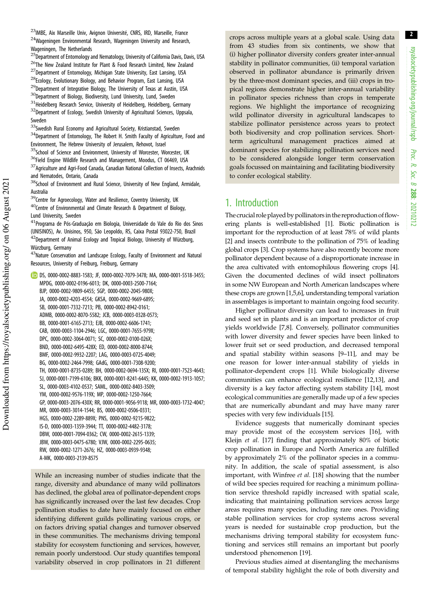<sup>23</sup>IMBE, Aix Marseille Univ, Avignon Université, CNRS, IRD, Marseille, France <sup>24</sup>Wageningen Environmental Research, Wageningen University and Research, Wageningen, The Netherlands

<sup>25</sup>Department of Entomology and Nematology, University of California Davis, Davis, USA <sup>26</sup>The New Zealand Institute for Plant & Food Research Limited, New Zealand  $27$ Department of Entomology, Michigan State University, East Lansing, USA <sup>28</sup>Ecology, Evolutionary Biology, and Behavior Program, East Lansing, USA <sup>29</sup>Department of Integrative Biology, The University of Texas at Austin, USA <sup>30</sup>Department of Biology, Biodiversity, Lund University, Lund, Sweden  $31$ Heidelberg Research Service, University of Heidelberg, Heidelberg, Germany <sup>32</sup>Department of Ecology, Swedish University of Agricultural Sciences, Uppsala, Sweden

33Swedish Rural Economy and Agricultural Society, Kristianstad, Sweden  $34$ Department of Entomology, The Robert H. Smith Faculty of Agriculture, Food and Environment, The Hebrew University of Jerusalem, Rehovot, Israel <sup>35</sup>School of Science and Environment, University of Worcester, Worcester, UK

<sup>36</sup>Field Engine Wildlife Research and Management, Moodus, CT 06469, USA  $37$ Agriculture and Agri-Food Canada, Canadian National Collection of Insects, Arachnids and Nematodes, Ontario, Canada

<sup>38</sup>School of Environment and Rural Science, University of New England, Armidale, Australia

<sup>39</sup>Centre for Agroecology, Water and Resilience, Coventry University, UK  $40$ Centre of Environmental and Climate Research & Department of Biology, Lund University, Sweden

<sup>41</sup>Programa de Pós-Graduação em Biologia, Universidade do Vale do Rio dos Sinos (UNISINOS), Av. Unisinos, 950, São Leopoldo, RS, Caixa Postal 93022-750, Brazil <sup>42</sup>Department of Animal Ecology and Tropical Biology, University of Würzburg, Würzburg, Germany

<sup>43</sup>Nature Conservation and Landscape Ecology, Faculty of Environment and Natural Resources, University of Freiburg, Freiburg, Germany

DS, 0000-0002-8883-1583; JF, 0000-0002-7079-3478; MA, 0000-0001-5518-3455; MPDG, 0000-0002-0196-6013; DK, 0000-0003-2500-7164; BJP, 0000-0002-9809-6455; SGP, 0000-0002-2045-980X; JA, 0000-0002-4203-4554; GKSA, 0000-0002-9669-6895; SB, 0000-0001-7332-7213; PB, 0000-0002-8942-0161; ADMB, 0000-0002-8070-5582; JCB, 0000-0003-0328-0573; BB, 0000-0001-6165-2713; EJB, 0000-0002-6606-1741; CAB, 0000-0003-1104-2946; LGC, 0000-0001-7655-979X; DPC, 0000-0002-3064-0071; SC, 0000-0002-0100-026X; BND, 0000-0002-6495-428X; ED, 0000-0002-8000-8744; BMF, 0000-0002-9932-2207; LAG, 0000-0003-0725-4049; BG, 0000-0002-2464-7998; GAdG, 0000-0001-7308-9200; TH, 0000-0001-8735-0289; BH, 0000-0002-0694-135X; RI, 0000-0001-7523-4643; SJ, 0000-0001-7199-6106; BKK, 0000-0001-8241-6445; KK, 0000-0002-1913-1057; SL, 0000-0003-4102-0537; SAML, 0000-0002-8403-3509; YM, 0000-0002-9576-119X; MP, 0000-0002-1250-7664; GP, 0000-0003-2076-430X; RR, 0000-0001-9056-9118; MR, 0000-0003-1732-4047; MR, 0000-0003-3014-1544; BS, 0000-0002-0506-0331; HGS, 0000-0002-2289-889X; PNS, 0000-0002-9215-9822; IS-D, 0000-0003-1359-3944; TT, 0000-0002-4482-3178; DBW, 0000-0001-7094-0362; CW, 0000-0002-2615-1339; JBW, 0000-0003-0475-6780; VJW, 0000-0002-2295-0635; RW, 0000-0002-1271-2676; HZ, 0000-0003-0939-9348;

While an increasing number of studies indicate that the range, diversity and abundance of many wild pollinators has declined, the global area of pollinator-dependent crops has significantly increased over the last few decades. Crop pollination studies to date have mainly focused on either identifying different guilds pollinating various crops, or on factors driving spatial changes and turnover observed in these communities. The mechanisms driving temporal stability for ecosystem functioning and services, however, remain poorly understood. Our study quantifies temporal variability observed in crop pollinators in 21 different crops across multiple years at a global scale. Using data from 43 studies from six continents, we show that (i) higher pollinator diversity confers greater inter-annual stability in pollinator communities, (ii) temporal variation observed in pollinator abundance is primarily driven by the three-most dominant species, and (iii) crops in tropical regions demonstrate higher inter-annual variability in pollinator species richness than crops in temperate regions. We highlight the importance of recognizing wild pollinator diversity in agricultural landscapes to stabilize pollinator persistence across years to protect both biodiversity and crop pollination services. Shortterm agricultural management practices aimed at dominant species for stabilizing pollination services need to be considered alongside longer term conservation goals focussed on maintaining and facilitating biodiversity to confer ecological stability.

### 1. Introduction

The crucial role played by pollinators in the reproduction of flowering plants is well-established [1]. Biotic pollination is important for the reproduction of at least 78% of wild plants [2] and insects contribute to the pollination of 75% of leading global crops [3]. Crop systems have also recently become more pollinator dependent because of a disproportionate increase in the area cultivated with entomophilous flowering crops [4]. Given the documented declines of wild insect pollinators in some NW European and North American landscapes where these crops are grown [1,5,6], understanding temporal variation in assemblages is important to maintain ongoing food security.

Higher pollinator diversity can lead to increases in fruit and seed set in plants and is an important predictor of crop yields worldwide [7,8]. Conversely, pollinator communities with lower diversity and fewer species have been linked to lower fruit set or seed production, and decreased temporal and spatial stability within seasons [9–11], and may be one reason for lower inter-annual stability of yields in pollinator-dependent crops [1]. While biologically diverse communities can enhance ecological resilience [12,13], and diversity is a key factor affecting system stability [14], most ecological communities are generally made up of a few species that are numerically abundant and may have many rarer species with very few individuals [15].

Evidence suggests that numerically dominant species may provide most of the ecosystem services [16], with Kleijn et al. [17] finding that approximately 80% of biotic crop pollination in Europe and North America are fulfilled by approximately 2% of the pollinator species in a community. In addition, the scale of spatial assessment, is also important, with Winfree et al. [18] showing that the number of wild bee species required for reaching a minimum pollination service threshold rapidly increased with spatial scale, indicating that maintaining pollination services across large areas requires many species, including rare ones. Providing stable pollination services for crop systems across several years is needed for sustainable crop production, but the mechanisms driving temporal stability for ecosystem functioning and services still remains an important but poorly understood phenomenon [19].

Previous studies aimed at disentangling the mechanisms of temporal stability highlight the role of both diversity and

A-MK, 0000-0003-2139-8575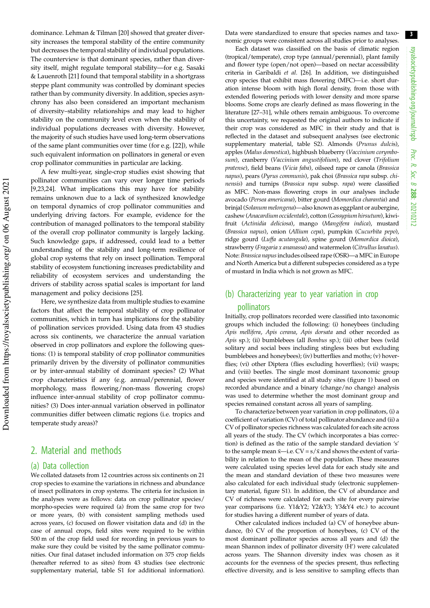3

dominance. Lehman & Tilman [20] showed that greater diversity increases the temporal stability of the entire community but decreases the temporal stability of individual populations. The counterview is that dominant species, rather than diversity itself, might regulate temporal stability—for e.g. Sasaki & Lauenroth [21] found that temporal stability in a shortgrass steppe plant community was controlled by dominant species rather than by community diversity. In addition, species asynchrony has also been considered an important mechanism of diversity–stability relationships and may lead to higher stability on the community level even when the stability of individual populations decreases with diversity. However, the majority of such studies have used long-term observations of the same plant communities over time (for e.g. [22]), while such equivalent information on pollinators in general or even crop pollinator communities in particular are lacking.

A few multi-year, single-crop studies exist showing that pollinator communities can vary over longer time periods [9,23,24]. What implications this may have for stability remains unknown due to a lack of synthesized knowledge on temporal dynamics of crop pollinator communities and underlying driving factors. For example, evidence for the contribution of managed pollinators to the temporal stability of the overall crop pollinator community is largely lacking. Such knowledge gaps, if addressed, could lead to a better understanding of the stability and long-term resilience of global crop systems that rely on insect pollination. Temporal stability of ecosystem functioning increases predictability and reliability of ecosystem services and understanding the drivers of stability across spatial scales is important for land management and policy decisions [25].

Here, we synthesize data from multiple studies to examine factors that affect the temporal stability of crop pollinator communities, which in turn has implications for the stability of pollination services provided. Using data from 43 studies across six continents, we characterize the annual variation observed in crop pollinators and explore the following questions: (1) is temporal stability of crop pollinator communities primarily driven by the diversity of pollinator communities or by inter-annual stability of dominant species? (2) What crop characteristics if any (e.g. annual/perennial, flower morphology, mass flowering/non-mass flowering crops) influence inter-annual stability of crop pollinator communities? (3) Does inter-annual variation observed in pollinator communities differ between climatic regions (i.e. tropics and temperate study areas)?

# 2. Material and methods

#### (a) Data collection

We collated datasets from 12 countries across six continents on 21 crop species to examine the variations in richness and abundance of insect pollinators in crop systems. The criteria for inclusion in the analyses were as follows: data on crop pollinator species/ morpho-species were required (a) from the same crop for two or more years, (b) with consistent sampling methods used across years, (c) focused on flower visitation data and (d) in the case of annual crops, field sites were required to be within 500 m of the crop field used for recording in previous years to make sure they could be visited by the same pollinator communities. Our final dataset included information on 375 crop fields (hereafter referred to as sites) from 43 studies (see electronic supplementary material, table S1 for additional information).

Data were standardized to ensure that species names and taxonomic groups were consistent across all studies prior to analyses.

Each dataset was classified on the basis of climatic region (tropical/temperate), crop type (annual/perennial), plant family and flower type (open/not open)—based on nectar accessibility criteria in Garibaldi et al. [26]. In addition, we distinguished crop species that exhibit mass flowering (MFC)—i.e. short duration intense bloom with high floral density, from those with extended flowering periods with lower density and more sparse blooms. Some crops are clearly defined as mass flowering in the literature [27–31], while others remain ambiguous. To overcome this uncertainty, we requested the original authors to indicate if their crop was considered as MFC in their study and that is reflected in the dataset and subsequent analyses (see electronic supplementary material, table S2). Almonds (Prunus dulcis), apples (Malus domestica), highbush blueberry (Vaccinium corymbosum), cranberry (Vaccinium angustifolium), red clover (Trifolium pratense), field beans (Vicia faba), oilseed rape or canola (Brassica napus), pears (Pyrus communis), pak choi (Brassica rapa subsp. chinensis) and turnips (Brassica rapa subsp. rapa) were classified as MFC. Non-mass flowering crops in our analyses include avocado (Persea americana), bitter gourd (Momordica charantia) and brinjal (Solanum melongena)—also known as eggplant or aubergine, cashew (Anacardium occidentale), cotton (Gossypium hirsutum), kiwifruit (Actinidia deliciosa), mango (Mangifera indica), mustard (Brassica napus), onion (Allium cepa), pumpkin (Cucurbita pepo), ridge gourd (Luffa acutangula), spine gourd (Momordica dioica), strawberry (Fragaria x ananassa) and watermelon (Citrullus lanatus). Note: Brassica napusincludes oilseed rape (OSR)—a MFC in Europe and North America but a different subspecies considered as a type of mustard in India which is not grown as MFC.

# (b) Characterizing year to year variation in crop pollinators

Initially, crop pollinators recorded were classified into taxonomic groups which included the following: (i) honeybees (including Apis mellifera, Apis cerana, Apis dorsata and other recorded as Apis sp.); (ii) bumblebees (all Bombus sp.); (iii) other bees (wild solitary and social bees including stingless bees but excluding bumblebees and honeybees); (iv) butterflies and moths; (v) hoverflies; (vi) other Diptera (flies excluding hoverflies); (vii) wasps; and (viii) beetles. The single most dominant taxonomic group and species were identified at all study sites (figure 1) based on recorded abundance and a binary (change/no change) analysis was used to determine whether the most dominant group and species remained constant across all years of sampling.

To characterize between year variation in crop pollinators, (i) a coefficient of variation (CV) of total pollinator abundance and (ii) a CV of pollinator species richness was calculated for each site across all years of the study. The CV (which incorporates a bias correction) is defined as the ratio of the sample standard deviation 's' to the sample mean  $\bar{x}$ —i.e.  $CV = s/\bar{x}$  and shows the extent of variability in relation to the mean of the population. These measures were calculated using species level data for each study site and the mean and standard deviation of these two measures were also calculated for each individual study (electronic supplementary material, figure S1). In addition, the CV of abundance and CV of richness were calculated for each site for every pairwise year comparisons (i.e. Y1&Y2; Y2&Y3; Y3&Y4 etc.) to account for studies having a different number of years of data.

Other calculated indices included (a) CV of honeybee abundance, (b) CV of the proportion of honeybees, (c) CV of the most dominant pollinator species across all years and (d) the mean Shannon index of pollinator diversity (H') were calculated across years. The Shannon diversity index was chosen as it accounts for the evenness of the species present, thus reflecting effective diversity, and is less sensitive to sampling effects than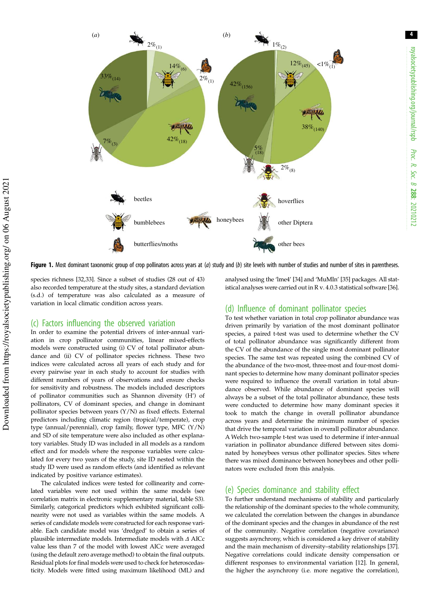

Figure 1. Most dominant taxonomic group of crop pollinators across years at (*a*) study and (*b*) site levels with number of studies and number of sites in parentheses.

species richness [32,33]. Since a subset of studies (28 out of 43) also recorded temperature at the study sites, a standard deviation (s.d.) of temperature was also calculated as a measure of variation in local climatic condition across years.

#### (c) Factors influencing the observed variation

In order to examine the potential drivers of inter-annual variation in crop pollinator communities, linear mixed-effects models were constructed using (i) CV of total pollinator abundance and (ii) CV of pollinator species richness. These two indices were calculated across all years of each study and for every pairwise year in each study to account for studies with different numbers of years of observations and ensure checks for sensitivity and robustness. The models included descriptors of pollinator communities such as Shannon diversity (H') of pollinators, CV of dominant species, and change in dominant pollinator species between years (Y/N) as fixed effects. External predictors including climatic region (tropical/temperate), crop type (annual/perennial), crop family, flower type, MFC (Y/N) and SD of site temperature were also included as other explanatory variables. Study ID was included in all models as a random effect and for models where the response variables were calculated for every two years of the study, site ID nested within the study ID were used as random effects (and identified as relevant indicated by positive variance estimates).

The calculated indices were tested for collinearity and correlated variables were not used within the same models (see correlation matrix in electronic supplementary material, table S3). Similarly, categorical predictors which exhibited significant collinearity were not used as variables within the same models. A series of candidate models were constructed for each response variable. Each candidate model was 'dredged' to obtain a series of plausible intermediate models. Intermediate models with Δ AICc value less than 7 of the model with lowest AICc were averaged (using the default zero average method) to obtain the final outputs. Residual plots for final models were used to check for heteroscedasticity. Models were fitted using maximum likelihood (ML) and

analysed using the 'lme4' [34] and 'MuMIn' [35] packages. All statistical analyses were carried out in R v. 4.0.3 statistical software [36].

#### (d) Influence of dominant pollinator species

To test whether variation in total crop pollinator abundance was driven primarily by variation of the most dominant pollinator species, a paired t-test was used to determine whether the CV of total pollinator abundance was significantly different from the CV of the abundance of the single most dominant pollinator species. The same test was repeated using the combined CV of the abundance of the two-most, three-most and four-most dominant species to determine how many dominant pollinator species were required to influence the overall variation in total abundance observed. While abundance of dominant species will always be a subset of the total pollinator abundance, these tests were conducted to determine how many dominant species it took to match the change in overall pollinator abundance across years and determine the minimum number of species that drive the temporal variation in overall pollinator abundance. A Welch two-sample t-test was used to determine if inter-annual variation in pollinator abundance differed between sites dominated by honeybees versus other pollinator species. Sites where there was mixed dominance between honeybees and other pollinators were excluded from this analysis.

#### (e) Species dominance and stability effect

To further understand mechanisms of stability and particularly the relationship of the dominant species to the whole community, we calculated the correlation between the changes in abundance of the dominant species and the changes in abundance of the rest of the community. Negative correlation (negative covariance) suggests asynchrony, which is considered a key driver of stability and the main mechanism of diversity–stability relationships [37]. Negative correlations could indicate density compensation or different responses to environmental variation [12]. In general, the higher the asynchrony (i.e. more negative the correlation),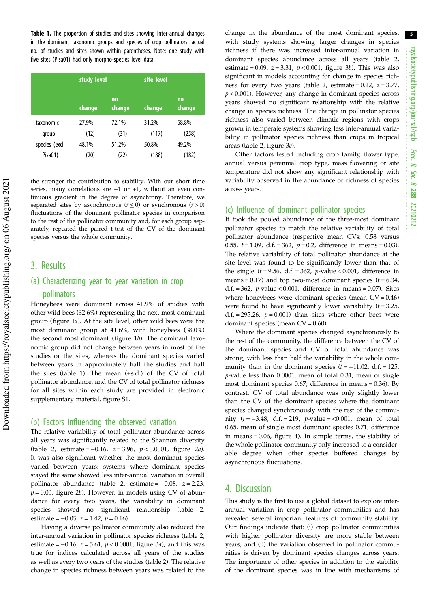Table 1. The proportion of studies and sites showing inter-annual changes in the dominant taxonomic groups and species of crop pollinators; actual no. of studies and sites shown within parentheses. Note: one study with five sites (Pisa01) had only morpho-species level data.

|               | study level |                     | site level |              |  |
|---------------|-------------|---------------------|------------|--------------|--|
|               | change      | <b>no</b><br>change | change     | no<br>change |  |
| taxonomic     | 27.9%       | 72.1%               | 31.2%      | 68.8%        |  |
| group         | (12)        | (31)                | (117)      | (258)        |  |
| species (excl | 48.1%       | 51.2%               | 50.8%      | 49.2%        |  |
| Pisa01)       | (20)        | (22)                | (188)      | (182)        |  |

the stronger the contribution to stability. With our short time series, many correlations are -1 or +1, without an even continuous gradient in the degree of asynchrony. Therefore, we separated sites by asynchronous ( $r \le 0$ ) or synchronous ( $r > 0$ ) fluctuations of the dominant pollinator species in comparison to the rest of the pollinator community and, for each group separately, repeated the paired t-test of the CV of the dominant species versus the whole community.

## 3. Results

## (a) Characterizing year to year variation in crop pollinators

Honeybees were dominant across 41.9% of studies with other wild bees (32.6%) representing the next most dominant group (figure 1a). At the site level, other wild bees were the most dominant group at 41.6%, with honeybees (38.0%) the second most dominant (figure 1b). The dominant taxonomic group did not change between years in most of the studies or the sites, whereas the dominant species varied between years in approximately half the studies and half the sites (table 1). The mean (±s.d.) of the CV of total pollinator abundance, and the CV of total pollinator richness for all sites within each study are provided in electronic supplementary material, figure S1.

#### (b) Factors influencing the observed variation

The relative variability of total pollinator abundance across all years was significantly related to the Shannon diversity (table 2, estimate =  $-0.16$ ,  $z = 3.96$ ,  $p < 0.0001$ , figure 2*a*). It was also significant whether the most dominant species varied between years: systems where dominant species stayed the same showed less inter-annual variation in overall pollinator abundance (table 2, estimate =  $-0.08$ ,  $z = 2.23$ ,  $p = 0.03$ , figure 2b). However, in models using CV of abundance for every two years, the variability in dominant species showed no significant relationship (table 2, estimate =  $-0.05$ ,  $z = 1.42$ ,  $p = 0.16$ )

Having a diverse pollinator community also reduced the inter-annual variation in pollinator species richness (table 2, estimate =  $-0.16$ ,  $z = 5.61$ ,  $p < 0.0001$ , figure 3*a*), and this was true for indices calculated across all years of the studies as well as every two years of the studies (table 2). The relative change in species richness between years was related to the change in the abundance of the most dominant species, with study systems showing larger changes in species richness if there was increased inter-annual variation in dominant species abundance across all years (table 2, estimate =  $0.09$ ,  $z = 3.31$ ,  $p < 0.001$ , figure 3b). This was also significant in models accounting for change in species richness for every two years (table 2, estimate =  $0.12$ ,  $z = 3.77$ ,  $p < 0.001$ ). However, any change in dominant species across years showed no significant relationship with the relative change in species richness. The change in pollinator species richness also varied between climatic regions with crops grown in temperate systems showing less inter-annual variability in pollinator species richness than crops in tropical areas (table 2, figure 3c).

Other factors tested including crop family, flower type, annual versus perennial crop type, mass flowering or site temperature did not show any significant relationship with variability observed in the abundance or richness of species across years.

#### (c) Influence of dominant pollinator species

It took the pooled abundance of the three-most dominant pollinator species to match the relative variability of total pollinator abundance (respective mean CVs: 0.58 versus 0.55,  $t = 1.09$ , d.f. = 362,  $p = 0.2$ , difference in means = 0.03). The relative variability of total pollinator abundance at the site level was found to be significantly lower than that of the single  $(t = 9.56, d.f. = 362, p-value < 0.001, difference in$ means = 0.17) and top two-most dominant species  $(t = 6.34,$ d.f. = 362, *p*-value < 0.001, difference in means = 0.07). Sites where honeybees were dominant species (mean  $CV = 0.46$ ) were found to have significantly lower variability  $(t = 3.25)$ , d.f. = 295.26,  $p = 0.001$ ) than sites where other bees were dominant species (mean  $CV = 0.60$ ).

Where the dominant species changed asynchronously to the rest of the community, the difference between the CV of the dominant species and CV of total abundance was strong, with less than half the variability in the whole community than in the dominant species  $(t = -11.02, d.f. = 125,$ p-value less than 0.0001, mean of total 0.31, mean of single most dominant species 0.67; difference in means = 0.36). By contrast, CV of total abundance was only slightly lower than the CV of the dominant species where the dominant species changed synchronously with the rest of the community ( $t = -3.48$ , d.f. = 219, p-value = <0.001, mean of total 0.65, mean of single most dominant species 0.71, difference in means = 0.06, figure 4). In simple terms, the stability of the whole pollinator community only increased to a considerable degree when other species buffered changes by asynchronous fluctuations.

### 4. Discussion

This study is the first to use a global dataset to explore interannual variation in crop pollinator communities and has revealed several important features of community stability. Our findings indicate that: (i) crop pollinator communities with higher pollinator diversity are more stable between years, and (ii) the variation observed in pollinator communities is driven by dominant species changes across years. The importance of other species in addition to the stability of the dominant species was in line with mechanisms of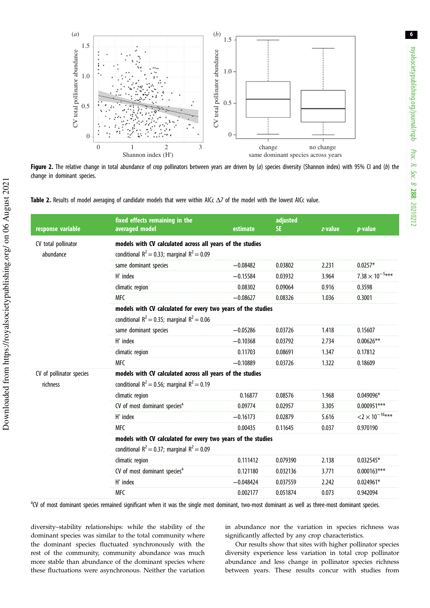6



Figure 2. The relative change in total abundance of crop pollinators between years are driven by (*a*) species diversity (Shannon index) with 95% CI and (*b*) the change in dominant species.



| response variable                    | fixed effects remaining in the<br>averaged model                                                                 | estimate    | adjusted<br>SE. | z-value | $p$ -value                           |  |  |
|--------------------------------------|------------------------------------------------------------------------------------------------------------------|-------------|-----------------|---------|--------------------------------------|--|--|
| CV total pollinator<br>abundance     | models with CV calculated across all years of the studies<br>conditional $R^2 = 0.33$ ; marginal $R^2 = 0.09$    |             |                 |         |                                      |  |  |
|                                      | same dominant species                                                                                            | $-0.08482$  | 0.03802         | 2.231   | $0.0257*$                            |  |  |
|                                      | H' index                                                                                                         | $-0.15584$  | 0.03932         | 3.964   | $7.38 \times 10^{-5}$ ***            |  |  |
|                                      | climatic region                                                                                                  | 0.08302     | 0.09064         | 0.916   | 0.3598                               |  |  |
|                                      | <b>MFC</b>                                                                                                       | $-0.08627$  | 0.08326         | 1.036   | 0.3001                               |  |  |
|                                      | models with CV calculated for every two years of the studies<br>conditional $R^2$ = 0.35; marginal $R^2$ = 0.06  |             |                 |         |                                      |  |  |
|                                      | same dominant species                                                                                            | $-0.05286$  | 0.03726         | 1.418   | 0.15607                              |  |  |
|                                      | H' index                                                                                                         | $-0.10368$  | 0.03792         | 2.734   | $0.00626**$                          |  |  |
|                                      | climatic region                                                                                                  | 0.11703     | 0.08691         | 1.347   | 0.17812                              |  |  |
|                                      | <b>MFC</b>                                                                                                       | $-0.10889$  | 0.03726         | 1.322   | 0.18609                              |  |  |
| CV of pollinator species<br>richness | models with CV calculated across all years of the studies<br>conditional $R^2 = 0.56$ ; marginal $R^2 = 0.19$    |             |                 |         |                                      |  |  |
|                                      | climatic region                                                                                                  | 0.16877     | 0.08576         | 1.968   | 0.049096*                            |  |  |
|                                      | CV of most dominant species <sup>a</sup>                                                                         | 0.09774     | 0.02957         | 3.305   | $0.000951***$                        |  |  |
|                                      | H' index                                                                                                         | $-0.16173$  | 0.02879         | 5.616   | $<$ 2 $\times$ 10 <sup>-16</sup> *** |  |  |
|                                      | <b>MFC</b>                                                                                                       | 0.00435     | 0.11645         | 0.037   | 0.970190                             |  |  |
|                                      | models with CV calculated for every two years of the studies<br>conditional $R^2 = 0.37$ ; marginal $R^2 = 0.09$ |             |                 |         |                                      |  |  |
|                                      | climatic region                                                                                                  | 0.111412    | 0.079390        | 2.138   | $0.032545*$                          |  |  |
|                                      | CV of most dominant species <sup>a</sup>                                                                         | 0.121180    | 0.032136        | 3.771   | $0.000163***$                        |  |  |
|                                      | H' index                                                                                                         | $-0.048424$ | 0.037559        | 2.242   | $0.024961*$                          |  |  |
|                                      | <b>MFC</b>                                                                                                       | 0.002177    | 0.051874        | 0.073   | 0.942094                             |  |  |

<sup>a</sup>CV of most dominant species remained significant when it was the single most dominant, two-most dominant as well as three-most dominant species.

diversity–stability relationships: while the stability of the dominant species was similar to the total community where the dominant species fluctuated synchronously with the rest of the community, community abundance was much more stable than abundance of the dominant species where these fluctuations were asynchronous. Neither the variation in abundance nor the variation in species richness was significantly affected by any crop characteristics.

Our results show that sites with higher pollinator species diversity experience less variation in total crop pollinator abundance and less change in pollinator species richness between years. These results concur with studies from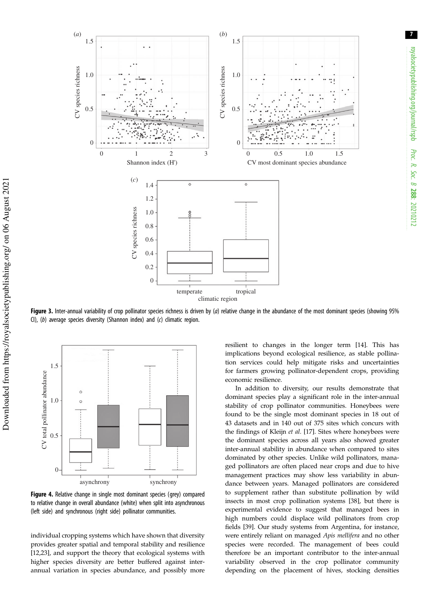7



Figure 3. Inter-annual variability of crop pollinator species richness is driven by (a) relative change in the abundance of the most dominant species (showing 95% CI), (*b*) average species diversity (Shannon index) and (*c*) climatic region.



Figure 4. Relative change in single most dominant species (grey) compared to relative change in overall abundance (white) when split into asynchronous (left side) and synchronous (right side) pollinator communities.

individual cropping systems which have shown that diversity provides greater spatial and temporal stability and resilience [12,23], and support the theory that ecological systems with higher species diversity are better buffered against interannual variation in species abundance, and possibly more resilient to changes in the longer term [14]. This has implications beyond ecological resilience, as stable pollination services could help mitigate risks and uncertainties for farmers growing pollinator-dependent crops, providing economic resilience.

In addition to diversity, our results demonstrate that dominant species play a significant role in the inter-annual stability of crop pollinator communities. Honeybees were found to be the single most dominant species in 18 out of 43 datasets and in 140 out of 375 sites which concurs with the findings of Kleijn et al. [17]. Sites where honeybees were the dominant species across all years also showed greater inter-annual stability in abundance when compared to sites dominated by other species. Unlike wild pollinators, managed pollinators are often placed near crops and due to hive management practices may show less variability in abundance between years. Managed pollinators are considered to supplement rather than substitute pollination by wild insects in most crop pollination systems [38], but there is experimental evidence to suggest that managed bees in high numbers could displace wild pollinators from crop fields [39]. Our study systems from Argentina, for instance, were entirely reliant on managed Apis mellifera and no other species were recorded. The management of bees could therefore be an important contributor to the inter-annual variability observed in the crop pollinator community depending on the placement of hives, stocking densities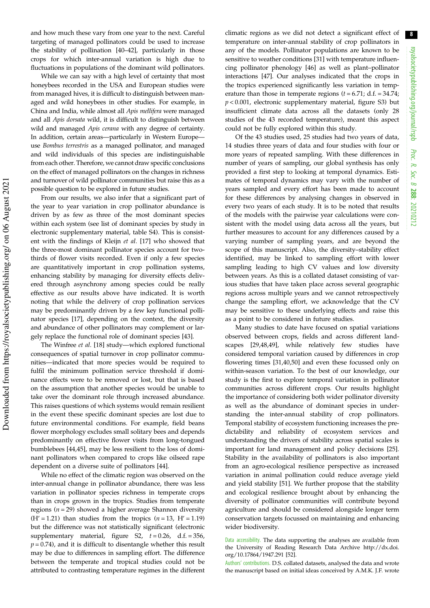and how much these vary from one year to the next. Careful targeting of managed pollinators could be used to increase the stability of pollination [40–42], particularly in those crops for which inter-annual variation is high due to fluctuations in populations of the dominant wild pollinators.

While we can say with a high level of certainty that most honeybees recorded in the USA and European studies were from managed hives, it is difficult to distinguish between managed and wild honeybees in other studies. For example, in China and India, while almost all Apis mellifera were managed and all Apis dorsata wild, it is difficult to distinguish between wild and managed Apis cerana with any degree of certainty. In addition, certain areas—particularly in Western Europe use Bombus terrestris as a managed pollinator, and managed and wild individuals of this species are indistinguishable from each other. Therefore, we cannot draw specific conclusions on the effect of managed pollinators on the changes in richness and turnover of wild pollinator communities but raise this as a possible question to be explored in future studies.

From our results, we also infer that a significant part of the year to year variation in crop pollinator abundance is driven by as few as three of the most dominant species within each system (see list of dominant species by study in electronic supplementary material, table S4). This is consistent with the findings of Kleijn et al. [17] who showed that the three-most dominant pollinator species account for twothirds of flower visits recorded. Even if only a few species are quantitatively important in crop pollination systems, enhancing stability by managing for diversity effects delivered through asynchrony among species could be really effective as our results above have indicated. It is worth noting that while the delivery of crop pollination services may be predominantly driven by a few key functional pollinator species [17], depending on the context, the diversity and abundance of other pollinators may complement or largely replace the functional role of dominant species [43].

The Winfree et al. [18] study—which explored functional consequences of spatial turnover in crop pollinator communities—indicated that more species would be required to fulfil the minimum pollination service threshold if dominance effects were to be removed or lost, but that is based on the assumption that another species would be unable to take over the dominant role through increased abundance. This raises questions of which systems would remain resilient in the event these specific dominant species are lost due to future environmental conditions. For example, field beans flower morphology excludes small solitary bees and depends predominantly on effective flower visits from long-tongued bumblebees [44,45], may be less resilient to the loss of dominant pollinators when compared to crops like oilseed rape dependent on a diverse suite of pollinators [44].

While no effect of the climatic region was observed on the inter-annual change in pollinator abundance, there was less variation in pollinator species richness in temperate crops than in crops grown in the tropics. Studies from temperate regions ( $n = 29$ ) showed a higher average Shannon diversity  $(H' = 1.21)$  than studies from the tropics  $(n = 13, H' = 1.19)$ but the difference was not statistically significant (electronic supplementary material, figure S2,  $t = 0.26$ , d.f. = 356,  $p = 0.74$ ), and it is difficult to disentangle whether this result may be due to differences in sampling effort. The difference between the temperate and tropical studies could not be attributed to contrasting temperature regimes in the different climatic regions as we did not detect a significant effect of temperature on inter-annual stability of crop pollinators in any of the models. Pollinator populations are known to be sensitive to weather conditions [31] with temperature influencing pollinator phenology [46] as well as plant–pollinator interactions [47]. Our analyses indicated that the crops in the tropics experienced significantly less variation in temperature than those in temperate regions  $(t = 6.71; d.f. = 34.74;$  $p < 0.001$ , electronic supplementary material, figure S3) but insufficient climate data across all the datasets (only 28 studies of the 43 recorded temperature), meant this aspect could not be fully explored within this study.

Of the 43 studies used, 25 studies had two years of data, 14 studies three years of data and four studies with four or more years of repeated sampling. With these differences in number of years of sampling, our global synthesis has only provided a first step to looking at temporal dynamics. Estimates of temporal dynamics may vary with the number of years sampled and every effort has been made to account for these differences by analysing changes in observed in every two years of each study. It is to be noted that results of the models with the pairwise year calculations were consistent with the model using data across all the years, but further measures to account for any differences caused by a varying number of sampling years, and are beyond the scope of this manuscript. Also, the diversity–stability effect identified, may be linked to sampling effort with lower sampling leading to high CV values and low diversity between years. As this is a collated dataset consisting of various studies that have taken place across several geographic regions across multiple years and we cannot retrospectively change the sampling effort, we acknowledge that the CV may be sensitive to these underlying effects and raise this as a point to be considered in future studies.

Many studies to date have focused on spatial variations observed between crops, fields and across different landscapes [29,48,49], while relatively few studies have considered temporal variation caused by differences in crop flowering times [31,40,50] and even these focussed only on within-season variation. To the best of our knowledge, our study is the first to explore temporal variation in pollinator communities across different crops. Our results highlight the importance of considering both wider pollinator diversity as well as the abundance of dominant species in understanding the inter-annual stability of crop pollinators. Temporal stability of ecosystem functioning increases the predictability and reliability of ecosystem services and understanding the drivers of stability across spatial scales is important for land management and policy decisions [25]. Stability in the availability of pollinators is also important from an agro-ecological resilience perspective as increased variation in animal pollination could reduce average yield and yield stability [51]. We further propose that the stability and ecological resilience brought about by enhancing the diversity of pollinator communities will contribute beyond agriculture and should be considered alongside longer term conservation targets focussed on maintaining and enhancing wider biodiversity.

Authors' contributions. D.S. collated datasets, analysed the data and wrote the manuscript based on initial ideas conceived by A.M.K. J.F. wrote

Data accessibility. The data supporting the analyses are available from the University of Reading Research Data Archive http://dx.doi. org/10.17864/1947.291 [52].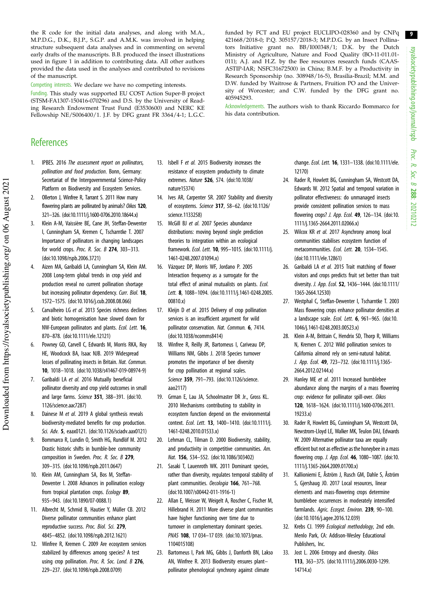9 royalsocietypublishing.org/journal/rspb royalsocietypublishing.org/journal/rspb Proc. R. Soc. B 288: 20210212 *Proc. R. Soc. B* : 20210212

the R code for the initial data analyses, and along with M.A., M.P.D.G., D.K., B.J.P., S.G.P. and A.M.K. was involved in helping structure subsequent data analyses and in commenting on several early drafts of the manuscripts. B.B. produced the insect illustrations used in figure 1 in addition to contributing data. All other authors provided the data used in the analyses and contributed to revisions of the manuscript.

Competing interests. We declare we have no competing interests.

Funding. This study was supported EU COST Action Super-B project (STSM-FA1307-150416-070296) and D.S. by the University of Reading Research Endowment Trust Fund (E3530600) and NERC KE Fellowship NE/S006400/1. J.F. by DFG grant FR 3364/4-1; L.G.C.

# **References**

- 1. IPBES. 2016 *The assessment report on pollinators, pollination and food production*. Bonn, Germany: Secretariat of the Intergovernmental Science-Policy Platform on Biodiversity and Ecosystem Services.
- 2. Ollerton J, Winfree R, Tarrant S. 2011 How many flowering plants are pollinated by animals? *Oikos* 120, 321–326. (doi:10.1111/j.1600-0706.2010.18644.x)
- 3. Klein A-M, Vaissière BE, Cane JH, Steffan-Dewenter I, Cunningham SA, Kremen C, Tscharntke T. 2007 Importance of pollinators in changing landscapes for world crops. *Proc. R. Soc. B* 274, 303–313. (doi:10.1098/rspb.2006.3721)
- 4. Aizen MA, Garibaldi LA, Cunningham SA, Klein AM. 2008 Long-term global trends in crop yield and production reveal no current pollination shortage but increasing pollinator dependency. *Curr. Biol.* 18, 1572–1575. (doi:10.1016/j.cub.2008.08.066)
- 5. Carvalheiro LG *et al.* 2013 Species richness declines and biotic homogenisation have slowed down for NW-European pollinators and plants. *Ecol. Lett.* 16, 870–878. (doi:10.1111/ele.12121)
- 6. Powney GD, Carvell C, Edwards M, Morris RKA, Roy HE, Woodcock BA, Isaac NJB. 2019 Widespread losses of pollinating insects in Britain. *Nat. Commun.* 10, 1018–1018. (doi:10.1038/s41467-019-08974-9)
- 7. Garibaldi LA *et al.* 2016 Mutually beneficial pollinator diversity and crop yield outcomes in small and large farms. *Science* 351, 388–391. (doi:10. 1126/science.aac7287)
- 8. Dainese M *et al.* 2019 A global synthesis reveals biodiversity-mediated benefits for crop production. *Sci. Adv.* 5, eaax0121. (doi:10.1126/sciadv.aax0121)
- 9. Bommarco R, Lundin O, Smith HG, Rundlöf M. 2012 Drastic historic shifts in bumble-bee community composition in Sweden. *Proc. R. Soc. B* 279, 309–315. (doi:10.1098/rspb.2011.0647)
- 10. Klein AM, Cunningham SA, Bos M, Steffan-Dewenter I. 2008 Advances in pollination ecology from tropical plantation crops. *Ecology* 89, 935–943. (doi:10.1890/07-0088.1)
- 11. Albrecht M, Schmid B, Hautier Y, Müller CB. 2012 Diverse pollinator communities enhance plant reproductive success. *Proc. Biol. Sci.* 279, 4845–4852. (doi:10.1098/rspb.2012.1621)
- 12. Winfree R, Kremen C. 2009 Are ecosystem services stabilized by differences among species? A test using crop pollination. *Proc. R. Soc. Lond. B* 276, 229–237. (doi:10.1098/rspb.2008.0709)

13. Isbell F *et al.* 2015 Biodiversity increases the resistance of ecosystem productivity to climate extremes. *Nature* 526, 574. (doi:10.1038/ nature15374)

405945293.

his data contribution.

- 14. Ives AR, Carpenter SR. 2007 Stability and diversity of ecosystems. *Science* 317, 58–62. (doi:10.1126/ science.1133258)
- 15. McGill BJ *et al.* 2007 Species abundance distributions: moving beyond single prediction theories to integration within an ecological framework. *Ecol. Lett.* 10, 995–1015. (doi:10.1111/j. 1461-0248.2007.01094.x)
- 16. Vázquez DP, Morris WF, Jordano P. 2005 Interaction frequency as a surrogate for the total effect of animal mutualists on plants. *Ecol. Lett.* 8, 1088–1094. (doi:10.1111/j.1461-0248.2005. 00810.x)
- 17. Kleijn D *et al.* 2015 Delivery of crop pollination services is an insufficient argument for wild pollinator conservation. *Nat. Commun.* 6, 7414. (doi:10.1038/ncomms8414)
- 18. Winfree R, Reilly JR, Bartomeus I, Cariveau DP, Williams NM, Gibbs J. 2018 Species turnover promotes the importance of bee diversity for crop pollination at regional scales. *Science* 359, 791–793. (doi:10.1126/science. aao2117)
- 19. Grman E, Lau JA, Schoolmaster DR Jr., Gross KL. 2010 Mechanisms contributing to stability in ecosystem function depend on the environmental context. *Ecol. Lett.* 13, 1400–1410. (doi:10.1111/j. 1461-0248.2010.01533.x)
- 20. Lehman CL, Tilman D. 2000 Biodiversity, stability, and productivity in competitive communities. *Am. Nat.* 156, 534–552. (doi:10.1086/303402)
- 21. Sasaki T, Lauenroth WK. 2011 Dominant species, rather than diversity, regulates temporal stability of plant communities. *Oecologia* 166, 761–768. (doi:10.1007/s00442-011-1916-1)
- 22. Allan E, Weisser W, Weigelt A, Roscher C, Fischer M, Hillebrand H. 2011 More diverse plant communities have higher functioning over time due to turnover in complementary dominant species. *PNAS* 108, 17 034–17 039. (doi:10.1073/pnas. 1104015108)
- 23. Bartomeus I, Park MG, Gibbs J, Danforth BN, Lakso AN, Winfree R. 2013 Biodiversity ensures plant– pollinator phenological synchrony against climate

change. *Ecol. Lett.* 16, 1331–1338. (doi:10.1111/ele. 12170)

- 24. Rader R, Howlett BG, Cunningham SA, Westcott DA, Edwards W. 2012 Spatial and temporal variation in pollinator effectiveness: do unmanaged insects provide consistent pollination services to mass flowering crops? *J. App. Ecol.* 49, 126–134. (doi:10. 1111/j.1365-2664.2011.02066.x)
- 25. Wilcox KR *et al.* 2017 Asynchrony among local communities stabilises ecosystem function of metacommunities. *Ecol. Lett.* 20, 1534–1545. (doi:10.1111/ele.12861)
- 26. Garibaldi LA *et al.* 2015 Trait matching of flower visitors and crops predicts fruit set better than trait diversity. *J. App. Ecol.* 52, 1436–1444. (doi:10.1111/ 1365-2664.12530)
- 27. Westphal C, Steffan-Dewenter I, Tscharntke T. 2003 Mass flowering crops enhance pollinator densities at a landscape scale. *Ecol. Lett.* 6, 961–965. (doi:10. 1046/j.1461-0248.2003.00523.x)
- 28. Klein A-M, Brittain C, Hendrix SD, Thorp R, Williams N, Kremen C. 2012 Wild pollination services to California almond rely on semi-natural habitat. *J. App. Ecol.* 49, 723–732. (doi:10.1111/j.1365- 2664.2012.02144.x)
- 29. Hanley ME *et al.* 2011 Increased bumblebee abundance along the margins of a mass flowering crop: evidence for pollinator spill-over. *Oikos* 120, 1618–1624. (doi:10.1111/j.1600-0706.2011. 19233.x)
- 30. Rader R, Howlett BG, Cunningham SA, Westcott DA, Newstrom-Lloyd LE, Walker MK, Teulon DAJ, Edwards W. 2009 Alternative pollinator taxa are equally efficient but not as effective as the honeybee in a mass flowering crop. *J. App. Ecol.* 46, 1080–1087. (doi:10. 1111/j.1365-2664.2009.01700.x)
- 31. Kallioniemi E, Åström J, Rusch GM, Dahle S, Åström S, Gjershaug JO. 2017 Local resources, linear elements and mass-flowering crops determine bumblebee occurrences in moderately intensified farmlands. *Agric. Ecosyst. Environ.* 239, 90–100. (doi:10.1016/j.agee.2016.12.039)
- 32. Krebs CJ. 1999 *Ecological methodology*, 2nd edn. Menlo Park, CA: Addison-Wesley Educational Publishers, Inc.
- 33. Jost L. 2006 Entropy and diversity. *Oikos* 113, 363–375. (doi:10.1111/j.2006.0030-1299. 14714.x)

sity of Worcester; and C.W. funded by the DFG grant no. Acknowledgements. The authors wish to thank Riccardo Bommarco for

funded by FCT and EU project EUCLIPO-028360 and by CNPq 421668/2018-0; P.Q. 305157/2018-3; M.P.D.G. by an Insect Pollinators Initiative grant no. BB/I000348/1; D.K. by the Dutch Ministry of Agriculture, Nature and Food Quality (BO-11-011.01- 011); A.J. and H.Z. by the Bee resources research funds (CAAS-ASTIP-IAR; NSFC31672500) in China; B.M.F. by a Productivity in Research Sponsorship (no. 308948/16-5), Brasilia-Brazil; M.M. and D.W. funded by Waitrose & Partners, Fruition PO and the Univer-